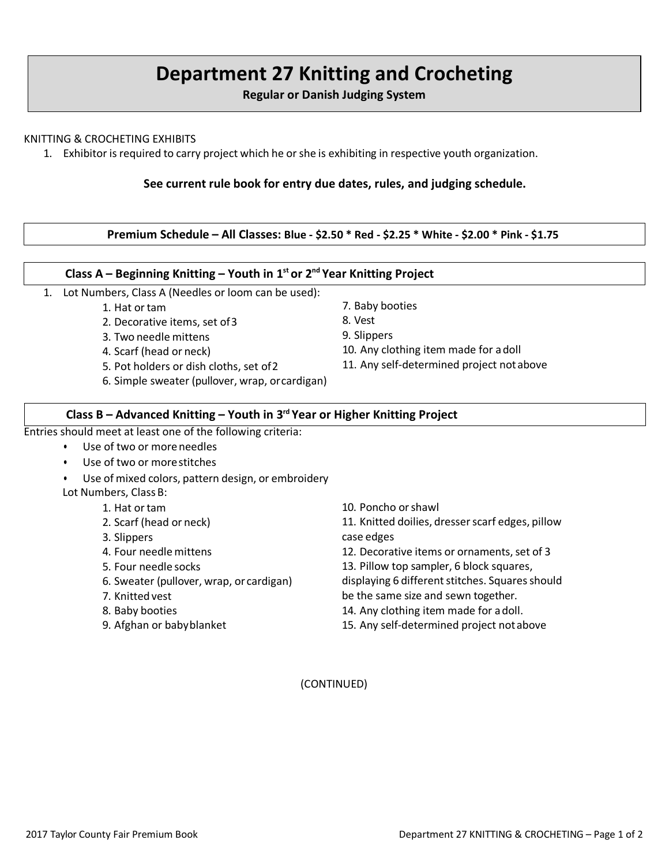# **Department 27 Knitting and Crocheting**

**Regular or Danish Judging System**

#### KNITTING & CROCHETING EXHIBITS

1. Exhibitor is required to carry project which he orshe is exhibiting in respective youth organization.

#### **See current rule book for entry due dates, rules, and judging schedule.**

#### **Premium Schedule – All Classes: Blue - \$2.50 \* Red - \$2.25 \* White - \$2.00 \* Pink - \$1.75**

#### **Class A – Beginning Knitting – Youth in 1st or 2nd Year Knitting Project**

- 1. Lot Numbers, Class A (Needles or loom can be used):
	- 1. Hat or tam
	- 2. Decorative items, set of3
	- 3. Two needle mittens
	- 4. Scarf (head or neck)
	- 5. Pot holders or dish cloths, set of2
	- 6. Simple sweater (pullover, wrap, orcardigan)
- 7. Baby booties
- 8. Vest
- 9. Slippers
- 10. Any clothing item made for adoll
- 11. Any self-determined project notabove

#### **Class B – Advanced Knitting – Youth in 3rd Year or Higher Knitting Project**

Entries should meet at least one of the following criteria:

- Use of two or moreneedles
	- Use of two or more stitches
- Use of mixed colors, pattern design, or embroidery Lot Numbers, Class B:
	- 1. Hat ortam
	- 2. Scarf (head or neck)
	- 3. Slippers
	- 4. Four needlemittens
	- 5. Four needle socks
	- 6. Sweater (pullover, wrap, or cardigan)
	- 7. Knittedvest
	- 8. Baby booties
	- 9. Afghan or babyblanket
- 10. Poncho orshawl
- 11. Knitted doilies, dresser scarf edges, pillow case edges
- 12. Decorative items or ornaments, set of 3
- 13. Pillow top sampler, 6 block squares,
- displaying 6 different stitches. Squares should
- be the same size and sewn together.
- 14. Any clothing item made for adoll.
- 15. Any self-determined project notabove

(CONTINUED)